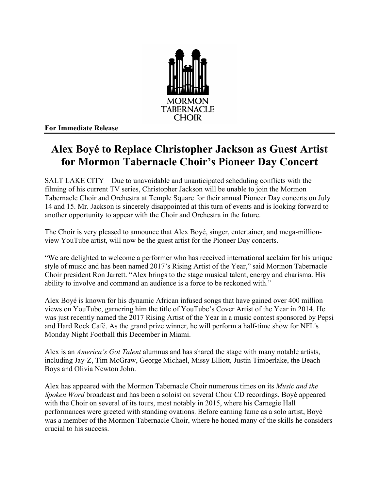

**For Immediate Release**

## **Alex Boyé to Replace Christopher Jackson as Guest Artist for Mormon Tabernacle Choir's Pioneer Day Concert**

SALT LAKE CITY – Due to unavoidable and unanticipated scheduling conflicts with the filming of his current TV series, Christopher Jackson will be unable to join the Mormon Tabernacle Choir and Orchestra at Temple Square for their annual Pioneer Day concerts on July 14 and 15. Mr. Jackson is sincerely disappointed at this turn of events and is looking forward to another opportunity to appear with the Choir and Orchestra in the future.

The Choir is very pleased to announce that Alex Boyé, singer, entertainer, and mega-millionview YouTube artist, will now be the guest artist for the Pioneer Day concerts.

"We are delighted to welcome a performer who has received international acclaim for his unique style of music and has been named 2017's Rising Artist of the Year," said Mormon Tabernacle Choir president Ron Jarrett. "Alex brings to the stage musical talent, energy and charisma. His ability to involve and command an audience is a force to be reckoned with."

Alex Boyé is known for his dynamic African infused songs that have gained over 400 million views on YouTube, garnering him the title of YouTube's Cover Artist of the Year in 2014. He was just recently named the 2017 Rising Artist of the Year in a music contest sponsored by Pepsi and Hard Rock Café. As the grand prize winner, he will perform a half-time show for NFL's Monday Night Football this December in Miami.

Alex is an *America's Got Talent* alumnus and has shared the stage with many notable artists, including Jay-Z, Tim McGraw, George Michael, Missy Elliott, Justin Timberlake, the Beach Boys and Olivia Newton John.

Alex has appeared with the Mormon Tabernacle Choir numerous times on its *Music and the Spoken Word* broadcast and has been a soloist on several Choir CD recordings. Boyé appeared with the Choir on several of its tours, most notably in 2015, where his Carnegie Hall performances were greeted with standing ovations. Before earning fame as a solo artist, Boyé was a member of the Mormon Tabernacle Choir, where he honed many of the skills he considers crucial to his success.